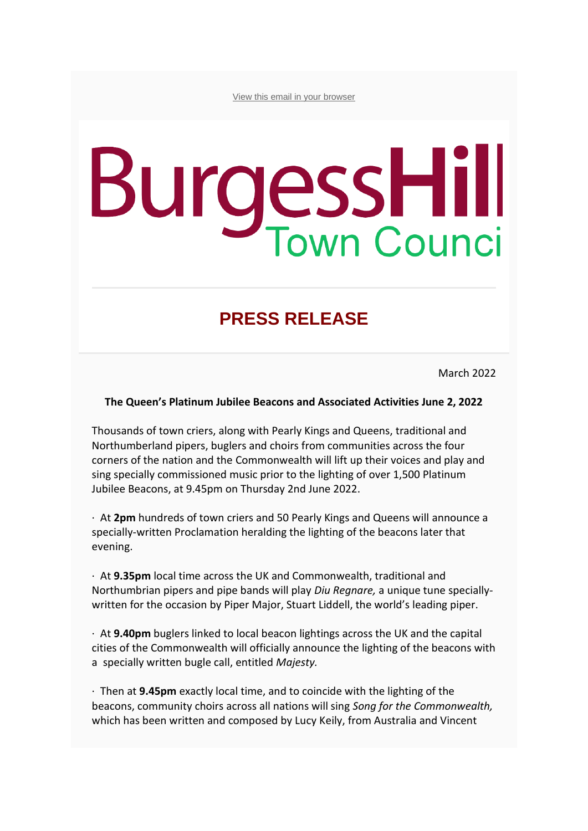[View this email in your browser](https://mailchi.mp/26a762d28670/press-release-from-burgess-hill-town-council?e=bae4df6ef3)

# **BurgessHill**

# **PRESS RELEASE**

March 2022

### **The Queen's Platinum Jubilee Beacons and Associated Activities June 2, 2022**

Thousands of town criers, along with Pearly Kings and Queens, traditional and Northumberland pipers, buglers and choirs from communities across the four corners of the nation and the Commonwealth will lift up their voices and play and sing specially commissioned music prior to the lighting of over 1,500 Platinum Jubilee Beacons, at 9.45pm on Thursday 2nd June 2022.

· At **2pm** hundreds of town criers and 50 Pearly Kings and Queens will announce a specially-written Proclamation heralding the lighting of the beacons later that evening.

· At **9.35pm** local time across the UK and Commonwealth, traditional and Northumbrian pipers and pipe bands will play *Diu Regnare,* a unique tune speciallywritten for the occasion by Piper Major, Stuart Liddell, the world's leading piper.

· At **9.40pm** buglers linked to local beacon lightings across the UK and the capital cities of the Commonwealth will officially announce the lighting of the beacons with a specially written bugle call, entitled *Majesty.*

· Then at **9.45pm** exactly local time, and to coincide with the lighting of the beacons, community choirs across all nations will sing *Song for the Commonwealth,*  which has been written and composed by Lucy Keily, from Australia and Vincent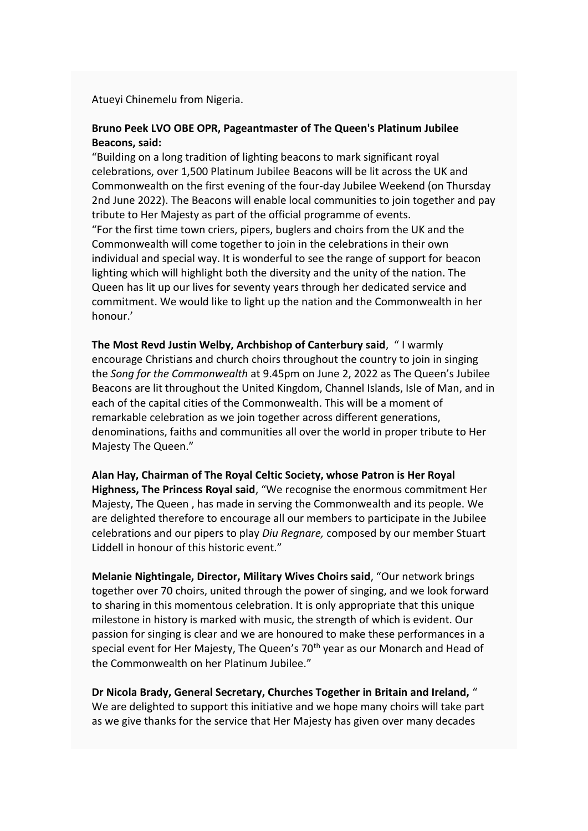### Atueyi Chinemelu from Nigeria.

## **Bruno Peek LVO OBE OPR, Pageantmaster of The Queen's Platinum Jubilee Beacons, said:**

"Building on a long tradition of lighting beacons to mark significant royal celebrations, over 1,500 Platinum Jubilee Beacons will be lit across the UK and Commonwealth on the first evening of the four-day Jubilee Weekend (on Thursday 2nd June 2022). The Beacons will enable local communities to join together and pay tribute to Her Majesty as part of the official programme of events. "For the first time town criers, pipers, buglers and choirs from the UK and the Commonwealth will come together to join in the celebrations in their own individual and special way. It is wonderful to see the range of support for beacon lighting which will highlight both the diversity and the unity of the nation. The Queen has lit up our lives for seventy years through her dedicated service and commitment. We would like to light up the nation and the Commonwealth in her honour.'

**The Most Revd Justin Welby, Archbishop of Canterbury said**, " I warmly encourage Christians and church choirs throughout the country to join in singing the *Song for the Commonwealth* at 9.45pm on June 2, 2022 as The Queen's Jubilee Beacons are lit throughout the United Kingdom, Channel Islands, Isle of Man, and in each of the capital cities of the Commonwealth. This will be a moment of remarkable celebration as we join together across different generations, denominations, faiths and communities all over the world in proper tribute to Her Majesty The Queen."

**Alan Hay, Chairman of The Royal Celtic Society, whose Patron is Her Royal Highness, The Princess Royal said**, "We recognise the enormous commitment Her Majesty, The Queen , has made in serving the Commonwealth and its people. We are delighted therefore to encourage all our members to participate in the Jubilee celebrations and our pipers to play *Diu Regnare,* composed by our member Stuart Liddell in honour of this historic event."

**Melanie Nightingale, Director, Military Wives Choirs said**, "Our network brings together over 70 choirs, united through the power of singing, and we look forward to sharing in this momentous celebration. It is only appropriate that this unique milestone in history is marked with music, the strength of which is evident. Our passion for singing is clear and we are honoured to make these performances in a special event for Her Majesty, The Queen's 70<sup>th</sup> year as our Monarch and Head of the Commonwealth on her Platinum Jubilee."

**Dr Nicola Brady, General Secretary, Churches Together in Britain and Ireland,** " We are delighted to support this initiative and we hope many choirs will take part as we give thanks for the service that Her Majesty has given over many decades